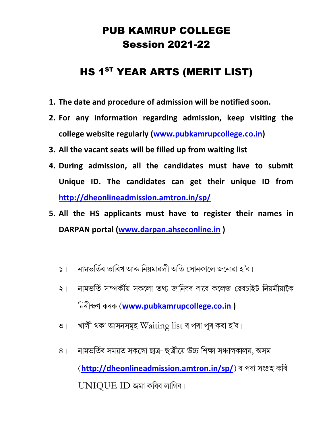### PUB KAMRUP COLLEGE Session 2021-22

# HS 1<sup>ST</sup> YEAR ARTS (MERIT LIST)

- 1. The date and procedure of admission will be notified soon.
- 2. For any information regarding admission, keep visiting the college website regularly (www.pubkamrupcollege.co.in)
- 3. All the vacant seats will be filled up from waiting list
- 4. During admission, all the candidates must have to submit Unique ID. The candidates can get their unique ID from http://dheonlineadmission.amtron.in/sp/
- 5. All the HS applicants must have to register their names in DARPAN portal (www.darpan.ahseconline.in )
	- নামভৰ্তিৰ তাৰিখ আৰু নিয়মাৱলী অতি সোনকালে জনোৱা হ'ব।  $5<sub>1</sub>$
	- নামভৰ্তি সম্পৰ্কীয় সকলো তথ্য জানিবৰ বাবে কলেজ ৱেবচাইট নিয়মীয়াকৈ  $\zeta$ নিৰীক্ষণ কৰক (www.pubkamrupcollege.co.in )
	- খালী থকা আসনসমূহ  $W$  $airing$   $list$  ৰ পৰা পূৰ কৰা হ'ব।  $\overline{O}$
	- নামভৰ্তিৰ সময়ত সকলো ছাত্ৰ- ছাত্ৰীয়ে উচ্চ শিক্ষা সঞ্চালকালয়. অসম  $8<sup>1</sup>$ (http://dheonlineadmission.amtron.in/sp/) ৰ পৰা সংগ্ৰহ কৰি UNIQUE ID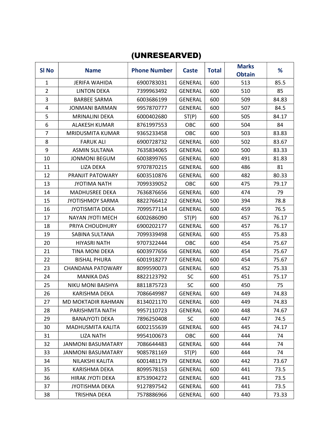#### (UNRESEARVED)

| SI No          | <b>Name</b>               | <b>Phone Number</b> | <b>Caste</b>   | <b>Total</b> | <b>Marks</b><br><b>Obtain</b> | %     |
|----------------|---------------------------|---------------------|----------------|--------------|-------------------------------|-------|
| $\mathbf{1}$   | <b>JERIFA WAHIDA</b>      | 6900783031          | <b>GENERAL</b> | 600          | 513                           | 85.5  |
| $\overline{2}$ | <b>LINTON DEKA</b>        | 7399963492          | <b>GENERAL</b> | 600          | 510                           | 85    |
| 3              | <b>BARBEE SARMA</b>       | 6003686199          | <b>GENERAL</b> | 600          | 509                           | 84.83 |
| 4              | <b>JONMANI BARMAN</b>     | 9957870777          | <b>GENERAL</b> | 600          | 507                           | 84.5  |
| 5              | <b>MRINALINI DEKA</b>     | 6000402680          | ST(P)          | 600          | 505                           | 84.17 |
| 6              | ALAKESH KUMAR             | 8761997553          | OBC            | 600          | 504                           | 84    |
| $\overline{7}$ | MRIDUSMITA KUMAR          | 9365233458          | OBC            | 600          | 503                           | 83.83 |
| 8              | <b>FARUK ALI</b>          | 6900728732          | <b>GENERAL</b> | 600          | 502                           | 83.67 |
| 9              | <b>ASMIN SULTANA</b>      | 7635834065          | <b>GENERAL</b> | 600          | 500                           | 83.33 |
| 10             | <b>JONMONI BEGUM</b>      | 6003899765          | <b>GENERAL</b> | 600          | 491                           | 81.83 |
| 11             | LIZA DEKA                 | 9707870215          | <b>GENERAL</b> | 600          | 486                           | 81    |
| 12             | PRANJIT PATOWARY          | 6003510876          | <b>GENERAL</b> | 600          | 482                           | 80.33 |
| 13             | <b>JYOTIMA NATH</b>       | 7099339052          | OBC            | 600          | 475                           | 79.17 |
| 14             | <b>MADHUSREE DEKA</b>     | 7636876656          | <b>GENERAL</b> | 600          | 474                           | 79    |
| 15             | <b>JYOTISHMOY SARMA</b>   | 8822766412          | <b>GENERAL</b> | 500          | 394                           | 78.8  |
| 16             | <b>JYOTISMITA DEKA</b>    | 7099577114          | <b>GENERAL</b> | 600          | 459                           | 76.5  |
| 17             | NAYAN JYOTI MECH          | 6002686090          | ST(P)          | 600          | 457                           | 76.17 |
| 18             | PRIYA CHOUDHURY           | 6900202177          | <b>GENERAL</b> | 600          | 457                           | 76.17 |
| 19             | SABINA SULTANA            | 7099339498          | <b>GENERAL</b> | 600          | 455                           | 75.83 |
| 20             | <b>HIYASRI NATH</b>       | 9707322444          | OBC            | 600          | 454                           | 75.67 |
| 21             | <b>TINA MONI DEKA</b>     | 6003977656          | <b>GENERAL</b> | 600          | 454                           | 75.67 |
| 22             | <b>BISHAL PHURA</b>       | 6001918277          | <b>GENERAL</b> | 600          | 454                           | 75.67 |
| 23             | CHANDANA PATOWARY         | 8099590073          | <b>GENERAL</b> | 600          | 452                           | 75.33 |
| 24             | <b>MANIKA DAS</b>         | 8822123792          | SC             | 600          | 451                           | 75.17 |
| 25             | <b>NIKU MONI BAISHYA</b>  | 8811875723          | <b>SC</b>      | 600          | 450                           | 75    |
| 26             | <b>KARISHMA DEKA</b>      | 7086649987          | <b>GENERAL</b> | 600          | 449                           | 74.83 |
| 27             | <b>MD MOKTADIR RAHMAN</b> | 8134021170          | <b>GENERAL</b> | 600          | 449                           | 74.83 |
| 28             | PARISHMITA NATH           | 9957110723          | <b>GENERAL</b> | 600          | 448                           | 74.67 |
| 29             | <b>BANAJYOTI DEKA</b>     | 7896250408          | SC             | 600          | 447                           | 74.5  |
| 30             | MADHUSMITA KALITA         | 6002155639          | <b>GENERAL</b> | 600          | 445                           | 74.17 |
| 31             | LIZA NATH                 | 9954100673          | OBC            | 600          | 444                           | 74    |
| 32             | <b>JANMONI BASUMATARY</b> | 7086644483          | <b>GENERAL</b> | 600          | 444                           | 74    |
| 33             | <b>JANMONI BASUMATARY</b> | 9085781169          | ST(P)          | 600          | 444                           | 74    |
| 34             | NILAKSHI KALITA           | 6001481179          | <b>GENERAL</b> | 600          | 442                           | 73.67 |
| 35             | KARISHMA DEKA             | 8099578153          | <b>GENERAL</b> | 600          | 441                           | 73.5  |
| 36             | HIRAK JYOTI DEKA          | 8753904272          | GENERAL        | 600          | 441                           | 73.5  |
| 37             | <b>JYOTISHMA DEKA</b>     | 9127897542          | <b>GENERAL</b> | 600          | 441                           | 73.5  |
| 38             | TRISHNA DEKA              | 7578886966          | <b>GENERAL</b> | 600          | 440                           | 73.33 |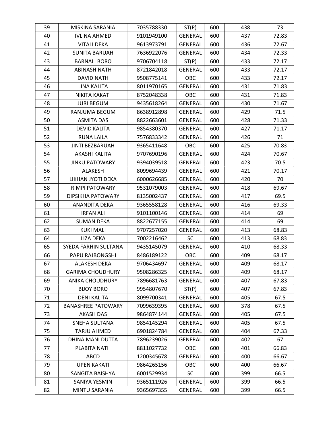| 39 | MISKINA SARANIA           | 7035788330 | ST(P)          | 600 | 438 | 73    |
|----|---------------------------|------------|----------------|-----|-----|-------|
| 40 | <b>IVLINA AHMED</b>       | 9101949100 | <b>GENERAL</b> | 600 | 437 | 72.83 |
| 41 | <b>VITALI DEKA</b>        | 9613973791 | <b>GENERAL</b> | 600 | 436 | 72.67 |
| 42 | <b>SUNITA BARUAH</b>      | 7636922076 | <b>GENERAL</b> | 600 | 434 | 72.33 |
| 43 | <b>BARNALI BORO</b>       | 9706704118 | ST(P)          | 600 | 433 | 72.17 |
| 44 | <b>ABINASH NATH</b>       | 8721842018 | <b>GENERAL</b> | 600 | 433 | 72.17 |
| 45 | DAVID NATH                | 9508775141 | OBC            | 600 | 433 | 72.17 |
| 46 | LINA KALITA               | 8011970165 | <b>GENERAL</b> | 600 | 431 | 71.83 |
| 47 | NIKITA KAKATI             | 8752048338 | <b>OBC</b>     | 600 | 431 | 71.83 |
| 48 | <b>JURI BEGUM</b>         | 9435618264 | GENERAL        | 600 | 430 | 71.67 |
| 49 | RANJUMA BEGUM             | 8638912898 | <b>GENERAL</b> | 600 | 429 | 71.5  |
| 50 | <b>ASMITA DAS</b>         | 8822663601 | <b>GENERAL</b> | 600 | 428 | 71.33 |
| 51 | <b>DEVID KALITA</b>       | 9854380370 | <b>GENERAL</b> | 600 | 427 | 71.17 |
| 52 | <b>RUNA LAILA</b>         | 7576833342 | <b>GENERAL</b> | 600 | 426 | 71    |
| 53 | <b>JINTI BEZBARUAH</b>    | 9365411648 | <b>OBC</b>     | 600 | 425 | 70.83 |
| 54 | AKASHI KALITA             | 9707690196 | <b>GENERAL</b> | 600 | 424 | 70.67 |
| 55 | <b>JINKU PATOWARY</b>     | 9394039518 | <b>GENERAL</b> | 600 | 423 | 70.5  |
| 56 | ALAKESH                   | 8099694439 | <b>GENERAL</b> | 600 | 421 | 70.17 |
| 57 | LIKHAN JYOTI DEKA         | 6000626685 | <b>GENERAL</b> | 600 | 420 | 70    |
| 58 | <b>RIMPI PATOWARY</b>     | 9531079003 | <b>GENERAL</b> | 600 | 418 | 69.67 |
| 59 | DIPSIKHA PATOWARY         | 8135002437 | <b>GENERAL</b> | 600 | 417 | 69.5  |
| 60 | ANANDITA DEKA             | 9365558128 | <b>GENERAL</b> | 600 | 416 | 69.33 |
| 61 | <b>IRFAN ALI</b>          | 9101100146 | <b>GENERAL</b> | 600 | 414 | 69    |
| 62 | <b>SUMAN DEKA</b>         | 8822677155 | <b>GENERAL</b> | 600 | 414 | 69    |
| 63 | <b>KUKI MALI</b>          | 9707257020 | <b>GENERAL</b> | 600 | 413 | 68.83 |
| 64 | LIZA DEKA                 | 7002216462 | <b>SC</b>      | 600 | 413 | 68.83 |
| 65 | SYEDA FARHIN SULTANA      | 9435145079 | <b>GENERAL</b> | 600 | 410 | 68.33 |
| 66 | PAPU RAJBONGSHI           | 8486189122 | <b>OBC</b>     | 600 | 409 | 68.17 |
| 67 | <b>ALAKESH DEKA</b>       | 9706434697 | <b>GENERAL</b> | 600 | 409 | 68.17 |
| 68 | <b>GARIMA CHOUDHURY</b>   | 9508286325 | <b>GENERAL</b> | 600 | 409 | 68.17 |
| 69 | <b>ANIKA CHOUDHURY</b>    | 7896681763 | <b>GENERAL</b> | 600 | 407 | 67.83 |
| 70 | <b>BIJOY BORO</b>         | 9954807670 | ST(P)          | 600 | 407 | 67.83 |
| 71 | <b>DENI KALITA</b>        | 8099700341 | <b>GENERAL</b> | 600 | 405 | 67.5  |
| 72 | <b>BANASHREE PATOWARY</b> | 7099639395 | <b>GENERAL</b> | 600 | 378 | 67.5  |
| 73 | <b>AKASH DAS</b>          | 9864874144 | <b>GENERAL</b> | 600 | 405 | 67.5  |
| 74 | SNEHA SULTANA             | 9854145294 | <b>GENERAL</b> | 600 | 405 | 67.5  |
| 75 | <b>TARJU AHMED</b>        | 6901824784 | <b>GENERAL</b> | 600 | 404 | 67.33 |
| 76 | DHINA MANI DUTTA          | 7896239026 | <b>GENERAL</b> | 600 | 402 | 67    |
| 77 | PLABITA NATH              | 8811027732 | OBC            | 600 | 401 | 66.83 |
| 78 | ABCD                      | 1200345678 | <b>GENERAL</b> | 600 | 400 | 66.67 |
| 79 | <b>UPEN KAKATI</b>        | 9864265156 | OBC            | 600 | 400 | 66.67 |
| 80 | SANGITA BAISHYA           | 6001529934 | <b>SC</b>      | 600 | 399 | 66.5  |
| 81 | SANIYA YESMIN             | 9365111926 | <b>GENERAL</b> | 600 | 399 | 66.5  |
| 82 | MINTU SARANIA             | 9365697355 | <b>GENERAL</b> | 600 | 399 | 66.5  |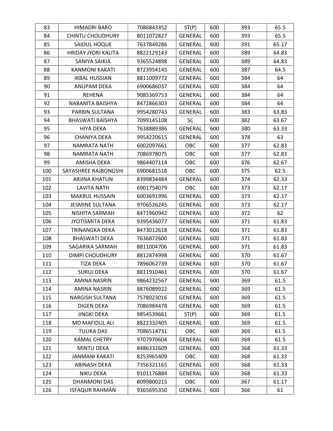| 83  | <b>HIMADRI BARO</b>     | 7086843352 | ST(P)          | 600 | 393 | 65.5  |
|-----|-------------------------|------------|----------------|-----|-----|-------|
| 84  | <b>CHINTU CHOUDHURY</b> | 8011072827 | <b>GENERAL</b> | 600 | 393 | 65.5  |
| 85  | SAIDUL HOQUE            | 7637849286 | <b>GENERAL</b> | 600 | 391 | 65.17 |
| 86  | HRIDAY JYORI KALITA     | 8822129143 | <b>GENERAL</b> | 600 | 389 | 64.83 |
| 87  | SANIYA SAIKIA           | 9365524898 | <b>GENERAL</b> | 600 | 389 | 64.83 |
| 88  | <b>KANMONI KAKATI</b>   | 8723954145 | <b>GENERAL</b> | 600 | 387 | 64.5  |
| 89  | <b>IKBAL HUSSIAN</b>    | 8811009772 | <b>GENERAL</b> | 600 | 384 | 64    |
| 90  | ANUPAM DEKA             | 6900686037 | <b>GENERAL</b> | 600 | 384 | 64    |
| 91  | <b>REHENA</b>           | 9085369753 | <b>GENERAL</b> | 600 | 384 | 64    |
| 92  | NABANITA BAISHYA        | 8472866303 | GENERAL        | 600 | 384 | 64    |
| 93  | PARBIN SULTANA          | 9954280743 | <b>GENERAL</b> | 600 | 383 | 63.83 |
| 94  | <b>BHASWATI BAISHYA</b> | 7099145108 | <b>SC</b>      | 600 | 382 | 63.67 |
| 95  | <b>HIYA DEKA</b>        | 7638889386 | <b>GENERAL</b> | 600 | 380 | 63.33 |
| 96  | CHANIYA DEKA            | 9954220615 | <b>GENERAL</b> | 600 | 378 | 63    |
| 97  | <b>NAMRATA NATH</b>     | 6002097661 | OBC            | 600 | 377 | 62.83 |
| 98  | <b>NAMRATA NATH</b>     | 7086978075 | <b>OBC</b>     | 600 | 377 | 62.83 |
| 99  | AMISHA DEKA             | 9864407114 | <b>OBC</b>     | 600 | 376 | 62.67 |
| 100 | SAYASHREE RAJBONGSHI    | 6900681518 | OBC            | 600 | 375 | 62.5  |
| 101 | ARJINA KHATUN           | 8399834484 | <b>GENERAL</b> | 600 | 374 | 62.33 |
| 102 | <b>LAVITA NATH</b>      | 6901754079 | OBC            | 600 | 373 | 62.17 |
| 103 | <b>MAKBUL HUSSAIN</b>   | 6003691996 | <b>GENERAL</b> | 600 | 373 | 62.17 |
| 104 | <b>JESMINE SULTANA</b>  | 9706526245 | <b>GENERAL</b> | 600 | 373 | 62.17 |
| 105 | NISHITA SARMAH          | 8471960942 | <b>GENERAL</b> | 600 | 372 | 62    |
| 106 | <b>JYOTISMITA DEKA</b>  | 9395436077 | <b>GENERAL</b> | 600 | 371 | 61.83 |
| 107 | TRINANGKA DEKA          | 8473012618 | <b>GENERAL</b> | 600 | 371 | 61.83 |
| 108 | <b>BHASWATI DEKA</b>    | 7636872600 | <b>GENERAL</b> | 600 | 371 | 61.83 |
| 109 | SAGARIKA SARMAH         | 8811004706 | <b>GENERAL</b> | 600 | 371 | 61.83 |
| 110 | DIMPI CHOUDHURY         | 8812874998 | <b>GENERAL</b> | 600 | 370 | 61.67 |
| 111 | <b>TIZA DEKA</b>        | 7896062739 | <b>GENERAL</b> | 600 | 370 | 61.67 |
| 112 | <b>SURUJ DEKA</b>       | 8811910461 | <b>GENERAL</b> | 600 | 370 | 61.67 |
| 113 | AMINA NASRIN            | 9864232567 | <b>GENERAL</b> | 600 | 369 | 61.5  |
| 114 | <b>AMINA NASRIN</b>     | 8876089922 | <b>GENERAL</b> | 600 | 369 | 61.5  |
| 115 | <b>NARGISH SULTANA</b>  | 7578023016 | <b>GENERAL</b> | 600 | 369 | 61.5  |
| 116 | <b>DIGEN DEKA</b>       | 7086984478 | <b>GENERAL</b> | 600 | 369 | 61.5  |
| 117 | <b>JINGKI DEKA</b>      | 9854539661 | ST(P)          | 600 | 369 | 61.5  |
| 118 | MD MAFIDUL ALI          | 8822332405 | <b>GENERAL</b> | 600 | 369 | 61.5  |
| 119 | <b>TULIKA DAS</b>       | 7086514731 | OBC            | 600 | 369 | 61.5  |
| 120 | <b>KAMAL CHETRY</b>     | 9707970604 | <b>GENERAL</b> | 600 | 369 | 61.5  |
| 121 | MINTU DEKA              | 8486332609 | GENERAL        | 600 | 368 | 61.33 |
| 122 | JANMANI KAKATI          | 8253965409 | <b>OBC</b>     | 600 | 368 | 61.33 |
| 123 | ABINASH DEKA            | 7356321165 | <b>GENERAL</b> | 600 | 368 | 61.33 |
| 124 | NIKU DEKA               | 9101176884 | <b>GENERAL</b> | 600 | 368 | 61.33 |
| 125 | DHANMONI DAS            | 8099800215 | OBC            | 600 | 367 | 61.17 |
| 126 | <b>ISFAQUR RAHMAN</b>   | 9365695350 | <b>GENERAL</b> | 600 | 366 | 61    |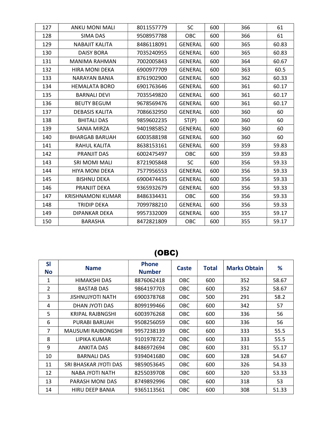| 127 | ANKU MONI MALI           | 8011557779 | <b>SC</b>      | 600 | 366 | 61    |
|-----|--------------------------|------------|----------------|-----|-----|-------|
| 128 | <b>SIMA DAS</b>          | 9508957788 | <b>OBC</b>     | 600 | 366 | 61    |
| 129 | <b>NABAJIT KALITA</b>    | 8486118091 | <b>GENERAL</b> | 600 | 365 | 60.83 |
| 130 | <b>DAISY BORA</b>        | 7035240955 | <b>GENERAL</b> | 600 | 365 | 60.83 |
| 131 | MANIMA RAHMAN            | 7002005843 | <b>GENERAL</b> | 600 | 364 | 60.67 |
| 132 | <b>HIRA MONI DEKA</b>    | 6900977709 | <b>GENERAL</b> | 600 | 363 | 60.5  |
| 133 | <b>NARAYAN BANIA</b>     | 8761902900 | <b>GENERAL</b> | 600 | 362 | 60.33 |
| 134 | <b>HEMALATA BORO</b>     | 6901763646 | <b>GENERAL</b> | 600 | 361 | 60.17 |
| 135 | <b>BARNALI DEVI</b>      | 7035549820 | <b>GENERAL</b> | 600 | 361 | 60.17 |
| 136 | <b>BEUTY BEGUM</b>       | 9678569476 | <b>GENERAL</b> | 600 | 361 | 60.17 |
| 137 | <b>DEBASIS KALITA</b>    | 7086632950 | <b>GENERAL</b> | 600 | 360 | 60    |
| 138 | <b>BHITALI DAS</b>       | 9859602235 | ST(P)          | 600 | 360 | 60    |
| 139 | SANIA MIRZA              | 9401985852 | <b>GENERAL</b> | 600 | 360 | 60    |
| 140 | <b>BHARGAB BARUAH</b>    | 6003588198 | <b>GENERAL</b> | 600 | 360 | 60    |
| 141 | RAHUL KALITA             | 8638153161 | <b>GENERAL</b> | 600 | 359 | 59.83 |
| 142 | PRANJIT DAS              | 6002475497 | <b>OBC</b>     | 600 | 359 | 59.83 |
| 143 | SRI MOMI MALI            | 8721905848 | SC             | 600 | 356 | 59.33 |
| 144 | <b>HIYA MONI DEKA</b>    | 7577956553 | <b>GENERAL</b> | 600 | 356 | 59.33 |
| 145 | <b>BISHNU DEKA</b>       | 6900474435 | <b>GENERAL</b> | 600 | 356 | 59.33 |
| 146 | PRANJIT DEKA             | 9365932679 | <b>GENERAL</b> | 600 | 356 | 59.33 |
| 147 | <b>KRISHNAMONI KUMAR</b> | 8486334431 | OBC            | 600 | 356 | 59.33 |
| 148 | <b>TRIDIP DEKA</b>       | 7099788210 | <b>GENERAL</b> | 600 | 356 | 59.33 |
| 149 | DIPANKAR DEKA            | 9957332009 | <b>GENERAL</b> | 600 | 355 | 59.17 |
| 150 | <b>BARASHA</b>           | 8472821809 | <b>OBC</b>     | 600 | 355 | 59.17 |

# (OBC)

| <b>SI</b><br><b>No</b> | <b>Name</b>               | <b>Phone</b><br><b>Number</b> | Caste      | <b>Total</b> | <b>Marks Obtain</b> | %     |
|------------------------|---------------------------|-------------------------------|------------|--------------|---------------------|-------|
| 1                      | HIMAKSHI DAS              | 8876062418                    | <b>OBC</b> | 600          | 352                 | 58.67 |
| 2                      | <b>BASTAB DAS</b>         | 9864197703                    | <b>OBC</b> | 600          | 352                 | 58.67 |
| 3                      | <b>JISHNUJYOTI NATH</b>   | 6900378768                    | <b>OBC</b> | 500          | 291                 | 58.2  |
| 4                      | DHAN JYOTI DAS            | 8099199466                    | <b>OBC</b> | 600          | 342                 | 57    |
| 5                      | KRIPAL RAJBNGSHI          | 6003976268                    | <b>OBC</b> | 600          | 336                 | 56    |
| 6                      | PURABI BARUAH             | 9508256059                    | <b>OBC</b> | 600          | 336                 | 56    |
| 7                      | <b>MAUSUMI RAJBONGSHI</b> | 9957238139                    | <b>OBC</b> | 600          | 333                 | 55.5  |
| 8                      | LIPIKA KUMAR              | 9101978722                    | <b>OBC</b> | 600          | 333                 | 55.5  |
| 9                      | <b>ANKITA DAS</b>         | 8486972694                    | <b>OBC</b> | 600          | 331                 | 55.17 |
| 10                     | <b>BARNALI DAS</b>        | 9394041680                    | <b>OBC</b> | 600          | 328                 | 54.67 |
| 11                     | SRI BHASKAR JYOTI DAS     | 9859053645                    | <b>OBC</b> | 600          | 326                 | 54.33 |
| 12                     | NABA JYOTI NATH           | 8255039708                    | <b>OBC</b> | 600          | 320                 | 53.33 |
| 13                     | PARASH MONI DAS           | 8749892996                    | <b>OBC</b> | 600          | 318                 | 53    |
| 14                     | HIRU DEEP BANIA           | 9365113561                    | <b>OBC</b> | 600          | 308                 | 51.33 |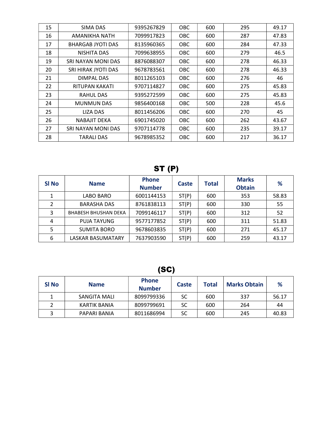| 15 | SIMA DAS                 | 9395267829 | <b>OBC</b> | 600 | 295 | 49.17 |
|----|--------------------------|------------|------------|-----|-----|-------|
| 16 | AMANIKHA NATH            | 7099917823 | <b>OBC</b> | 600 | 287 | 47.83 |
| 17 | <b>BHARGAB JYOTI DAS</b> | 8135960365 | OBC.       | 600 | 284 | 47.33 |
| 18 | NISHITA DAS              | 7099638955 | <b>OBC</b> | 600 | 279 | 46.5  |
| 19 | SRI NAYAN MONI DAS       | 8876088307 | <b>OBC</b> | 600 | 278 | 46.33 |
| 20 | SRI HIRAK JYOTI DAS      | 9678783561 | OBC.       | 600 | 278 | 46.33 |
| 21 | DIMPAL DAS               | 8011265103 | <b>OBC</b> | 600 | 276 | 46    |
| 22 | RITUPAN KAKATI           | 9707114827 | <b>OBC</b> | 600 | 275 | 45.83 |
| 23 | RAHUL DAS                | 9395272599 | <b>OBC</b> | 600 | 275 | 45.83 |
| 24 | <b>MUNMUN DAS</b>        | 9856400168 | OBC.       | 500 | 228 | 45.6  |
| 25 | LIZA DAS                 | 8011456206 | <b>OBC</b> | 600 | 270 | 45    |
| 26 | <b>NABAJIT DEKA</b>      | 6901745020 | <b>OBC</b> | 600 | 262 | 43.67 |
| 27 | SRI NAYAN MONI DAS       | 9707114778 | <b>OBC</b> | 600 | 235 | 39.17 |
| 28 | TARALI DAS               | 9678985352 | <b>OBC</b> | 600 | 217 | 36.17 |

### ST (P)

| SI <sub>No</sub> | <b>Name</b>                 | <b>Phone</b><br><b>Number</b> | Caste | <b>Total</b> | <b>Marks</b><br><b>Obtain</b> | %     |
|------------------|-----------------------------|-------------------------------|-------|--------------|-------------------------------|-------|
|                  | LABO BARO                   | 6001144153                    | ST(P) | 600          | 353                           | 58.83 |
| $\mathcal{P}$    | <b>BARASHA DAS</b>          | 8761838113                    | ST(P) | 600          | 330                           | 55    |
| 3                | <b>BHABESH BHUSHAN DEKA</b> | 7099146117                    | ST(P) | 600          | 312                           | 52    |
| 4                | <b>PUJA TAYUNG</b>          | 9577177852                    | ST(P) | 600          | 311                           | 51.83 |
| 5                | <b>SUMITA BORO</b>          | 9678603835                    | ST(P) | 600          | 271                           | 45.17 |
| 6                | LASKAR BASUMATARY           | 7637903590                    | ST(P) | 600          | 259                           | 43.17 |

(SC)

| SI No | <b>Name</b>  | <b>Phone</b><br><b>Number</b> | Caste | <b>Total</b> | <b>Marks Obtain</b> | %     |
|-------|--------------|-------------------------------|-------|--------------|---------------------|-------|
|       | SANGITA MALI | 8099799336                    | SC    | 600          | 337                 | 56.17 |
|       | KARTIK BANIA | 8099799691                    | SC    | 600          | 264                 | 44    |
| ͻ     | PAPARI BANIA | 8011686994                    | SC    | 600          | 245                 | 40.83 |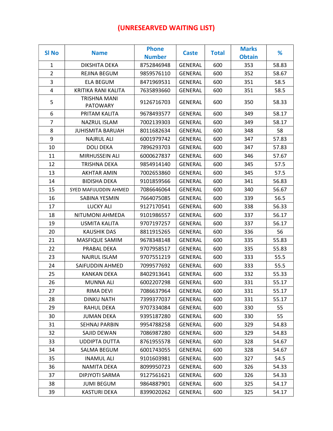#### (UNRESEARVED WAITING LIST)

| <b>SI No</b>   | <b>Name</b>             | <b>Phone</b><br><b>Number</b> | <b>Caste</b>   | <b>Total</b> | <b>Marks</b><br><b>Obtain</b> | %     |
|----------------|-------------------------|-------------------------------|----------------|--------------|-------------------------------|-------|
| $\mathbf{1}$   | DIKSHITA DEKA           | 8752846948                    | <b>GENERAL</b> | 600          | 353                           | 58.83 |
| $\overline{2}$ | REJINA BEGUM            | 9859576110                    | <b>GENERAL</b> | 600          | 352                           | 58.67 |
| 3              | <b>ELA BEGUM</b>        | 8471969531                    | <b>GENERAL</b> | 600          | 351                           | 58.5  |
| 4              | KRITIKA RANI KALITA     | 7635893660                    | <b>GENERAL</b> | 600          | 351                           | 58.5  |
|                | TRISHNA MANI            |                               |                |              |                               |       |
| 5              | <b>PATOWARY</b>         | 9126716703                    | <b>GENERAL</b> | 600          | 350                           | 58.33 |
| 6              | PRITAM KALITA           | 9678493577                    | <b>GENERAL</b> | 600          | 349                           | 58.17 |
| $\overline{7}$ | NAZRUL ISLAM            | 7002139303                    | <b>GENERAL</b> | 600          | 349                           | 58.17 |
| 8              | <b>JUHISMITA BARUAH</b> | 8011682634                    | <b>GENERAL</b> | 600          | 348                           | 58    |
| 9              | <b>NAJRUL ALI</b>       | 6001979742                    | <b>GENERAL</b> | 600          | 347                           | 57.83 |
| 10             | <b>DOLI DEKA</b>        | 7896293703                    | <b>GENERAL</b> | 600          | 347                           | 57.83 |
| 11             | MIRHUSSEIN ALI          | 6000627837                    | <b>GENERAL</b> | 600          | 346                           | 57.67 |
| 12             | TRISHNA DEKA            | 9854914140                    | <b>GENERAL</b> | 600          | 345                           | 57.5  |
| 13             | <b>AKHTAR AMIN</b>      | 7002653860                    | <b>GENERAL</b> | 600          | 345                           | 57.5  |
| 14             | <b>BIDISHA DEKA</b>     | 9101859566                    | <b>GENERAL</b> | 600          | 341                           | 56.83 |
| 15             | SYED MAFIJUDDIN AHMED   | 7086646064                    | <b>GENERAL</b> | 600          | 340                           | 56.67 |
| 16             | SABINA YESMIN           | 7664075085                    | <b>GENERAL</b> | 600          | 339                           | 56.5  |
| 17             | LUCKY ALI               | 9127170541                    | <b>GENERAL</b> | 600          | 338                           | 56.33 |
| 18             | NITUMONI AHMEDA         | 9101986557                    | <b>GENERAL</b> | 600          | 337                           | 56.17 |
| 19             | USMITA KALITA           | 9707197257                    | <b>GENERAL</b> | 600          | 337                           | 56.17 |
| 20             | <b>KAUSHIK DAS</b>      | 8811915265                    | <b>GENERAL</b> | 600          | 336                           | 56    |
| 21             | MASFIQUE SAMIM          | 9678348148                    | <b>GENERAL</b> | 600          | 335                           | 55.83 |
| 22             | PRABAL DEKA             | 9707958517                    | <b>GENERAL</b> | 600          | 335                           | 55.83 |
| 23             | <b>NAJRUL ISLAM</b>     | 9707551219                    | <b>GENERAL</b> | 600          | 333                           | 55.5  |
| 24             | SAIFUDDIN AHMED         | 7099577692                    | <b>GENERAL</b> | 600          | 333                           | 55.5  |
| 25             | <b>KANKAN DEKA</b>      | 8402913641                    | <b>GENERAL</b> | 600          | 332                           | 55.33 |
| 26             | <b>MUNNA ALI</b>        | 6002207298                    | <b>GENERAL</b> | 600          | 331                           | 55.17 |
| 27             | RIMA DEVI               | 7086637964                    | GENERAL        | 600          | 331                           | 55.17 |
| 28             | <b>DINKU NATH</b>       | 7399377037                    | <b>GENERAL</b> | 600          | 331                           | 55.17 |
| 29             | <b>RAHUL DEKA</b>       | 9707334084                    | <b>GENERAL</b> | 600          | 330                           | 55    |
| 30             | <b>JUMAN DEKA</b>       | 9395187280                    | <b>GENERAL</b> | 600          | 330                           | 55    |
| 31             | <b>SEHNAJ PARBIN</b>    | 9954788258                    | GENERAL        | 600          | 329                           | 54.83 |
| 32             | SAJID DEWAN             | 7086987280                    | GENERAL        | 600          | 329                           | 54.83 |
| 33             | <b>UDDIPTA DUTTA</b>    | 8761955578                    | <b>GENERAL</b> | 600          | 328                           | 54.67 |
| 34             | SALMA BEGUM             | 6001743055                    | GENERAL        | 600          | 328                           | 54.67 |
| 35             | <b>INAMUL ALI</b>       | 9101603981                    | <b>GENERAL</b> | 600          | 327                           | 54.5  |
| 36             | NAMITA DEKA             | 8099950723                    | <b>GENERAL</b> | 600          | 326                           | 54.33 |
| 37             | DIPJYOTI SARMA          | 9127561621                    | GENERAL        | 600          | 326                           | 54.33 |
| 38             | <b>JUMI BEGUM</b>       | 9864887901                    | <b>GENERAL</b> | 600          | 325                           | 54.17 |
| 39             | <b>KASTURI DEKA</b>     | 8399020262                    | <b>GENERAL</b> | 600          | 325                           | 54.17 |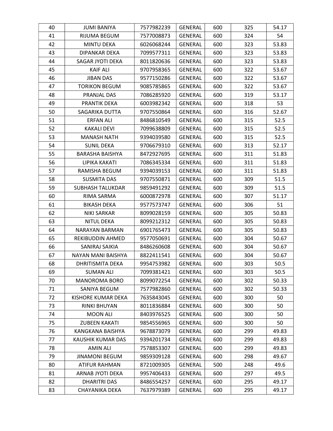| 40 | <b>JUMI BANIYA</b>      | 7577982239 | <b>GENERAL</b> | 600 | 325 | 54.17 |
|----|-------------------------|------------|----------------|-----|-----|-------|
| 41 | RIJUMA BEGUM            | 7577008873 | <b>GENERAL</b> | 600 | 324 | 54    |
| 42 | <b>MINTU DEKA</b>       | 6026068244 | <b>GENERAL</b> | 600 | 323 | 53.83 |
| 43 | DIPANKAR DEKA           | 7099577311 | <b>GENERAL</b> | 600 | 323 | 53.83 |
| 44 | SAGAR JYOTI DEKA        | 8011820636 | <b>GENERAL</b> | 600 | 323 | 53.83 |
| 45 | <b>KAIF ALI</b>         | 9707958365 | <b>GENERAL</b> | 600 | 322 | 53.67 |
| 46 | <b>JIBAN DAS</b>        | 9577150286 | <b>GENERAL</b> | 600 | 322 | 53.67 |
| 47 | <b>TORIKON BEGUM</b>    | 9085785865 | <b>GENERAL</b> | 600 | 322 | 53.67 |
| 48 | PRANJAL DAS             | 7086285920 | <b>GENERAL</b> | 600 | 319 | 53.17 |
| 49 | PRANTIK DEKA            | 6003982342 | <b>GENERAL</b> | 600 | 318 | 53    |
| 50 | SAGARIKA DUTTA          | 9707550864 | <b>GENERAL</b> | 600 | 316 | 52.67 |
| 51 | <b>ERFAN ALI</b>        | 8486810549 | <b>GENERAL</b> | 600 | 315 | 52.5  |
| 52 | KAKALI DEVI             | 7099638809 | <b>GENERAL</b> | 600 | 315 | 52.5  |
| 53 | <b>MANASH NATH</b>      | 9394039580 | <b>GENERAL</b> | 600 | 315 | 52.5  |
| 54 | <b>SUNIL DEKA</b>       | 9706679310 | <b>GENERAL</b> | 600 | 313 | 52.17 |
| 55 | <b>BARASHA BAISHYA</b>  | 8472927695 | <b>GENERAL</b> | 600 | 311 | 51.83 |
| 56 | LIPIKA KAKATI           | 7086345334 | <b>GENERAL</b> | 600 | 311 | 51.83 |
| 57 | RAMISHA BEGUM           | 9394039153 | <b>GENERAL</b> | 600 | 311 | 51.83 |
| 58 | <b>SUSMITA DAS</b>      | 9707550871 | <b>GENERAL</b> | 600 | 309 | 51.5  |
| 59 | <b>SUBHASH TALUKDAR</b> | 9859491292 | <b>GENERAL</b> | 600 | 309 | 51.5  |
| 60 | RIMA SARMA              | 6000872978 | <b>GENERAL</b> | 600 | 307 | 51.17 |
| 61 | <b>BIKASH DEKA</b>      | 9577573747 | <b>GENERAL</b> | 600 | 306 | 51    |
| 62 | <b>NIKI SARKAR</b>      | 8099028159 | <b>GENERAL</b> | 600 | 305 | 50.83 |
| 63 | <b>NITUL DEKA</b>       | 8099212312 | <b>GENERAL</b> | 600 | 305 | 50.83 |
| 64 | NARAYAN BARMAN          | 6901765473 | <b>GENERAL</b> | 600 | 305 | 50.83 |
| 65 | REKIBUDDIN AHMED        | 9577050691 | <b>GENERAL</b> | 600 | 304 | 50.67 |
| 66 | SANIRAJ SAIKIA          | 8486260608 | <b>GENERAL</b> | 600 | 304 | 50.67 |
| 67 | NAYAN MANI BAISHYA      | 8822411541 | <b>GENERAL</b> | 600 | 304 | 50.67 |
| 68 | DHRITISMITA DEKA        | 9954753982 | <b>GENERAL</b> | 600 | 303 | 50.5  |
| 69 | <b>SUMAN ALI</b>        | 7099381421 | <b>GENERAL</b> | 600 | 303 | 50.5  |
| 70 | <b>MANOROMA BORO</b>    | 8099072254 | <b>GENERAL</b> | 600 | 302 | 50.33 |
| 71 | SANIYA BEGUM            | 7577982860 | <b>GENERAL</b> | 600 | 302 | 50.33 |
| 72 | KISHORE KUMAR DEKA      | 7635843045 | <b>GENERAL</b> | 600 | 300 | 50    |
| 73 | <b>RINKI BHUYAN</b>     | 8011836884 | <b>GENERAL</b> | 600 | 300 | 50    |
| 74 | <b>MOON ALI</b>         | 8403976525 | <b>GENERAL</b> | 600 | 300 | 50    |
| 75 | <b>ZUBEEN KAKATI</b>    | 9854556965 | <b>GENERAL</b> | 600 | 300 | 50    |
| 76 | KANGKANA BAISHYA        | 9678873079 | <b>GENERAL</b> | 600 | 299 | 49.83 |
| 77 | KAUSHIK KUMAR DAS       | 9394201734 | <b>GENERAL</b> | 600 | 299 | 49.83 |
| 78 | <b>AMIN ALI</b>         | 7578853307 | <b>GENERAL</b> | 600 | 299 | 49.83 |
| 79 | <b>JINAMONI BEGUM</b>   | 9859309128 | <b>GENERAL</b> | 600 | 298 | 49.67 |
| 80 | <b>ATIFUR RAHMAN</b>    | 8721009305 | <b>GENERAL</b> | 500 | 248 | 49.6  |
| 81 | ARNAB JYOTI DEKA        | 9957406433 | <b>GENERAL</b> | 600 | 297 | 49.5  |
| 82 | DHARITRI DAS            | 8486554257 | <b>GENERAL</b> | 600 | 295 | 49.17 |
| 83 | CHAYANIKA DEKA          | 7637979389 | <b>GENERAL</b> | 600 | 295 | 49.17 |